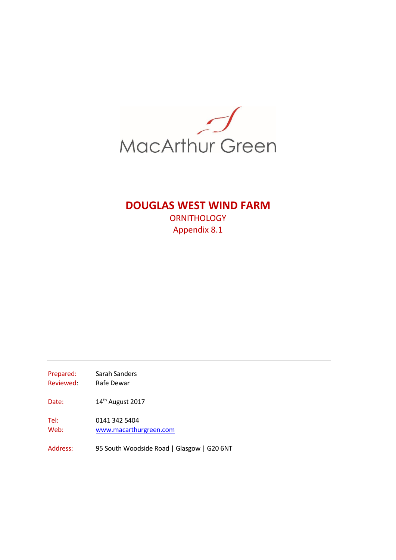

# **DOUGLAS WEST WIND FARM**

**ORNITHOLOGY** Appendix 8.1

Prepared: Sarah Sanders Reviewed: Rafe Dewar Date: 14<sup>th</sup> August 2017 Tel: 0141 342 5404 Web: [www.macarthurgreen.com](http://www.macarthurgreen.com/) Address: 95 South Woodside Road | Glasgow | G20 6NT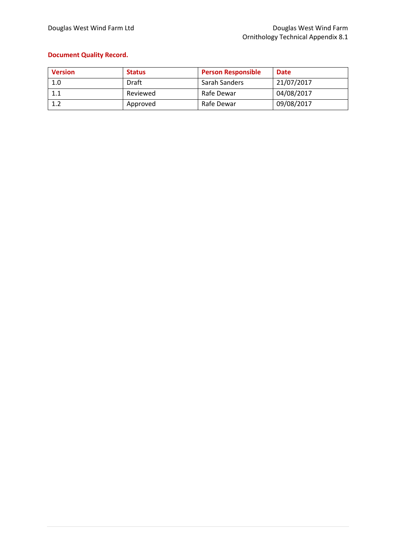### **Document Quality Record.**

| <b>Version</b> | <b>Status</b> | <b>Person Responsible</b> | <b>Date</b> |
|----------------|---------------|---------------------------|-------------|
| 1.0            | Draft         | Sarah Sanders             | 21/07/2017  |
| 1.1            | Reviewed      | Rafe Dewar                | 04/08/2017  |
| 1.2            | Approved      | Rafe Dewar                | 09/08/2017  |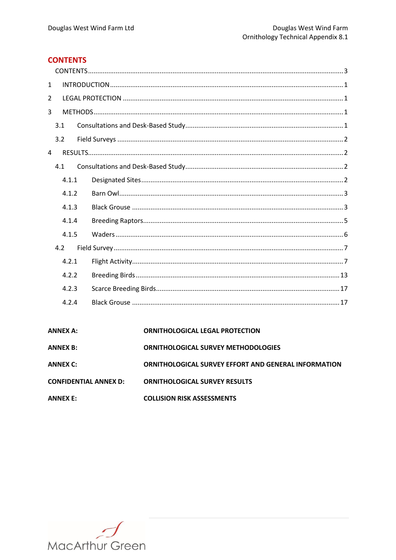### <span id="page-2-0"></span>**CONTENTS**

| $\mathbf{1}$ |       |  |
|--------------|-------|--|
| 2            |       |  |
| 3            |       |  |
|              | 3.1   |  |
|              | 3.2   |  |
| 4            |       |  |
|              | 4.1   |  |
|              | 4.1.1 |  |
|              | 4.1.2 |  |
|              | 4.1.3 |  |
|              | 4.1.4 |  |
|              | 4.1.5 |  |
|              | 4.2   |  |
|              | 4.2.1 |  |
|              | 4.2.2 |  |
|              | 4.2.3 |  |
|              | 4.2.4 |  |
|              |       |  |

#### **ANNEX A:** ORNITHOLOGICAL LEGAL PROTECTION

| <b>ANNEX B:</b>              | <b>ORNITHOLOGICAL SURVEY METHODOLOGIES</b>                  |
|------------------------------|-------------------------------------------------------------|
| ANNEX C:                     | <b>ORNITHOLOGICAL SURVEY EFFORT AND GENERAL INFORMATION</b> |
| <b>CONFIDENTIAL ANNEX D:</b> | <b>ORNITHOLOGICAL SURVEY RESULTS</b>                        |

**ANNEX E: COLLISION RISK ASSESSMENTS** 

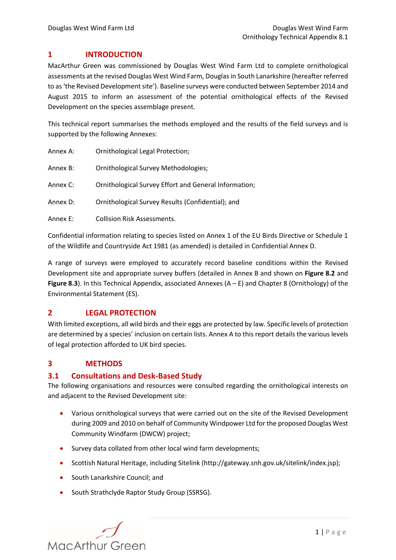### <span id="page-3-0"></span>**1 INTRODUCTION**

MacArthur Green was commissioned by Douglas West Wind Farm Ltd to complete ornithological assessments at the revised Douglas West Wind Farm, Douglasin South Lanarkshire (hereafter referred to as 'the Revised Development site'). Baseline surveys were conducted between September 2014 and August 2015 to inform an assessment of the potential ornithological effects of the Revised Development on the species assemblage present.

This technical report summarises the methods employed and the results of the field surveys and is supported by the following Annexes:

| Annex A: | <b>Ornithological Legal Protection;</b>               |
|----------|-------------------------------------------------------|
| Annex B: | <b>Ornithological Survey Methodologies;</b>           |
| Annex C: | Ornithological Survey Effort and General Information; |
| Annex D: | Ornithological Survey Results (Confidential); and     |
| Annex E: | <b>Collision Risk Assessments.</b>                    |

Confidential information relating to species listed on Annex 1 of the EU Birds Directive or Schedule 1 of the Wildlife and Countryside Act 1981 (as amended) is detailed in Confidential Annex D.

A range of surveys were employed to accurately record baseline conditions within the Revised Development site and appropriate survey buffers (detailed in Annex B and shown on **Figure 8.2** and **Figure 8.3**). In this Technical Appendix, associated Annexes (A – E) and Chapter 8 (Ornithology) of the Environmental Statement (ES).

### <span id="page-3-1"></span>**2 LEGAL PROTECTION**

With limited exceptions, all wild birds and their eggs are protected by law. Specific levels of protection are determined by a species' inclusion on certain lists. Annex A to this report details the various levels of legal protection afforded to UK bird species.

### <span id="page-3-2"></span>**3 METHODS**

### <span id="page-3-3"></span>**3.1 Consultations and Desk-Based Study**

The following organisations and resources were consulted regarding the ornithological interests on and adjacent to the Revised Development site:

- Various ornithological surveys that were carried out on the site of the Revised Development during 2009 and 2010 on behalf of Community Windpower Ltd for the proposed Douglas West Community Windfarm (DWCW) project;
- Survey data collated from other local wind farm developments;
- Scottish Natural Heritage, including Sitelink (http://gateway.snh.gov.uk/sitelink/index.jsp);
- South Lanarkshire Council; and
- South Strathclyde Raptor Study Group (SSRSG).

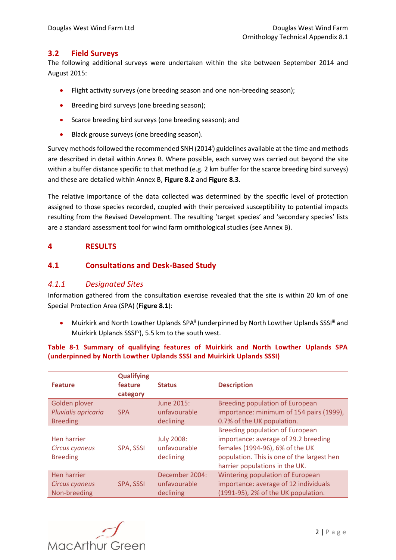### <span id="page-4-0"></span>**3.2 Field Surveys**

The following additional surveys were undertaken within the site between September 2014 and August 2015:

- Flight activity surveys (one breeding season and one non-breeding season);
- **•** Breeding bird surveys (one breeding season);
- Scarce breeding bird surveys (one breeding season); and
- **Black grouse surveys (one breeding season).**

Survey methods followed the recommended SNH (2014<sup>i</sup>) guidelines available at the time and methods are described in detail within Annex B. Where possible, each survey was carried out beyond the site within a buffer distance specific to that method (e.g. 2 km buffer for the scarce breeding bird surveys) and these are detailed within Annex B, **Figure 8.2** and **Figure 8.3**.

The relative importance of the data collected was determined by the specific level of protection assigned to those species recorded, coupled with their perceived susceptibility to potential impacts resulting from the Revised Development. The resulting 'target species' and 'secondary species' lists are a standard assessment tool for wind farm ornithological studies (see Annex B).

### <span id="page-4-1"></span>**4 RESULTS**

### <span id="page-4-2"></span>**4.1 Consultations and Desk-Based Study**

### <span id="page-4-3"></span>*4.1.1 Designated Sites*

Information gathered from the consultation exercise revealed that the site is within 20 km of one Special Protection Area (SPA) (**Figure 8.1**):

• Muirkirk and North Lowther Uplands SPA<sup>ii</sup> (underpinned by North Lowther Uplands SSSI<sup>III</sup> and Muirkirk Uplands SSSI<sup>iv</sup>), 5.5 km to the south west.

### **Table 8-1 Summary of qualifying features of Muirkirk and North Lowther Uplands SPA (underpinned by North Lowther Uplands SSSI and Muirkirk Uplands SSSI)**

| <b>Feature</b>                                   | <b>Qualifying</b><br>feature<br>category | <b>Status</b>                                  | <b>Description</b>                                                                                                                                                                                |
|--------------------------------------------------|------------------------------------------|------------------------------------------------|---------------------------------------------------------------------------------------------------------------------------------------------------------------------------------------------------|
| Golden plover                                    | <b>SPA</b>                               | June 2015:                                     | Breeding population of European                                                                                                                                                                   |
| Pluvialis apricaria                              |                                          | unfavourable                                   | importance: minimum of 154 pairs (1999),                                                                                                                                                          |
| <b>Breeding</b>                                  |                                          | declining                                      | 0.7% of the UK population.                                                                                                                                                                        |
| Hen harrier<br>Circus cyaneus<br><b>Breeding</b> | SPA, SSSI                                | <b>July 2008:</b><br>unfavourable<br>declining | <b>Breeding population of European</b><br>importance: average of 29.2 breeding<br>females (1994-96), 6% of the UK<br>population. This is one of the largest hen<br>harrier populations in the UK. |
| Hen harrier                                      | SPA, SSSI                                | December 2004:                                 | Wintering population of European                                                                                                                                                                  |
| Circus cyaneus                                   |                                          | unfavourable                                   | importance: average of 12 individuals                                                                                                                                                             |
| Non-breeding                                     |                                          | declining                                      | (1991-95), 2% of the UK population.                                                                                                                                                               |

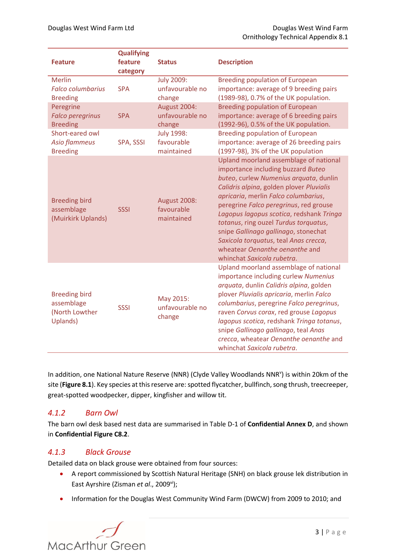| <b>Feature</b>                                                   | <b>Qualifying</b><br>feature<br>category | <b>Status</b>                                   | <b>Description</b>                                                                                                                                                                                                                                                                                                                                                                                                                                                                         |
|------------------------------------------------------------------|------------------------------------------|-------------------------------------------------|--------------------------------------------------------------------------------------------------------------------------------------------------------------------------------------------------------------------------------------------------------------------------------------------------------------------------------------------------------------------------------------------------------------------------------------------------------------------------------------------|
| <b>Merlin</b>                                                    | <b>SPA</b>                               | <b>July 2009:</b>                               | <b>Breeding population of European</b>                                                                                                                                                                                                                                                                                                                                                                                                                                                     |
| <b>Falco columbarius</b>                                         |                                          | unfavourable no                                 | importance: average of 9 breeding pairs                                                                                                                                                                                                                                                                                                                                                                                                                                                    |
| <b>Breeding</b>                                                  |                                          | change                                          | (1989-98), 0.7% of the UK population.                                                                                                                                                                                                                                                                                                                                                                                                                                                      |
| Peregrine                                                        | <b>SPA</b>                               | August 2004:                                    | <b>Breeding population of European</b>                                                                                                                                                                                                                                                                                                                                                                                                                                                     |
| <b>Falco peregrinus</b>                                          |                                          | unfavourable no                                 | importance: average of 6 breeding pairs                                                                                                                                                                                                                                                                                                                                                                                                                                                    |
| <b>Breeding</b>                                                  |                                          | change                                          | (1992-96), 0.5% of the UK population.                                                                                                                                                                                                                                                                                                                                                                                                                                                      |
| Short-eared owl                                                  | SPA, SSSI                                | <b>July 1998:</b>                               | <b>Breeding population of European</b>                                                                                                                                                                                                                                                                                                                                                                                                                                                     |
| <b>Asio flammeus</b>                                             |                                          | favourable                                      | importance: average of 26 breeding pairs                                                                                                                                                                                                                                                                                                                                                                                                                                                   |
| <b>Breeding</b>                                                  |                                          | maintained                                      | (1997-98), 3% of the UK population                                                                                                                                                                                                                                                                                                                                                                                                                                                         |
| <b>Breeding bird</b><br>assemblage<br>(Muirkirk Uplands)         | <b>SSSI</b>                              | <b>August 2008:</b><br>favourable<br>maintained | Upland moorland assemblage of national<br>importance including buzzard Buteo<br>buteo, curlew Numenius arquata, dunlin<br>Calidris alpina, golden plover Pluvialis<br>apricaria, merlin Falco columbarius,<br>peregrine Falco peregrinus, red grouse<br>Lagopus lagopus scotica, redshank Tringa<br>totanus, ring ouzel Turdus torquatus,<br>snipe Gallinago gallinago, stonechat<br>Saxicola torquatus, teal Anas crecca,<br>wheatear Oenanthe oenanthe and<br>whinchat Saxicola rubetra. |
| <b>Breeding bird</b><br>assemblage<br>(North Lowther<br>Uplands) | <b>SSSI</b>                              | May 2015:<br>unfavourable no<br>change          | Upland moorland assemblage of national<br>importance including curlew Numenius<br>arquata, dunlin Calidris alpina, golden<br>plover Pluvialis apricaria, merlin Falco<br>columbarius, peregrine Falco peregrinus,<br>raven Corvus corax, red grouse Lagopus<br>lagopus scotica, redshank Tringa totanus,<br>snipe Gallinago gallinago, teal Anas<br>crecca, wheatear Oenanthe oenanthe and<br>whinchat Saxicola rubetra.                                                                   |

In addition, one National Nature Reserve (NNR) (Clyde Valley Woodlands NNR<sup>v</sup>) is within 20km of the site (**Figure 8.1**). Key species at this reserve are: spotted flycatcher, bullfinch, song thrush, treecreeper, great-spotted woodpecker, dipper, kingfisher and willow tit.

### <span id="page-5-0"></span>*4.1.2 Barn Owl*

The barn owl desk based nest data are summarised in Table D-1 of **Confidential Annex D**, and shown in **Confidential Figure C8.2**.

### <span id="page-5-1"></span>*4.1.3 Black Grouse*

Detailed data on black grouse were obtained from four sources:

- <span id="page-5-2"></span> A report commissioned by Scottish Natural Heritage (SNH) on black grouse lek distribution in East Ayrshire (Zisman et al., 2009<sup>vi</sup>);
- Information for the Douglas West Community Wind Farm (DWCW) from 2009 to 2010; and

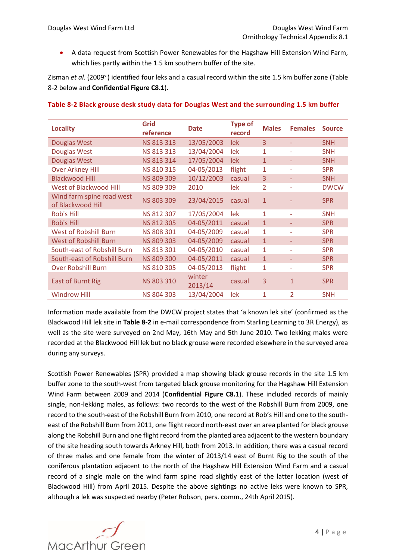A data request from Scottish Power Renewables for the Hagshaw Hill Extension Wind Farm, which lies partly within the 1.5 km southern buffer of the site.

Zisman *et al.* (2009<sup>[vi](#page-5-2)</sup>) identified four leks and a casual record within the site 1.5 km buffer zone (Table [8-2](#page-6-0) below and **Confidential Figure C8.1**).

| <b>Locality</b>                                | Grid<br>reference | <b>Date</b>       | <b>Type of</b><br>record | <b>Males</b>   | <b>Females</b>           | <b>Source</b> |
|------------------------------------------------|-------------------|-------------------|--------------------------|----------------|--------------------------|---------------|
| Douglas West                                   | NS 813 313        | 13/05/2003        | lek                      | $\overline{3}$ | ٠                        | <b>SNH</b>    |
| Douglas West                                   | NS 813 313        | 13/04/2004        | lek                      | $\mathbf{1}$   | $\overline{\phantom{0}}$ | <b>SNH</b>    |
| <b>Douglas West</b>                            | NS 813 314        | 17/05/2004        | lek                      | $\mathbf{1}$   |                          | <b>SNH</b>    |
| <b>Over Arkney Hill</b>                        | NS 810 315        | 04-05/2013        | flight                   | 1              | $\overline{\phantom{a}}$ | <b>SPR</b>    |
| <b>Blackwood Hill</b>                          | NS 809 309        | 10/12/2003        | casual                   | 3              |                          | <b>SNH</b>    |
| West of Blackwood Hill                         | <b>NS 809 309</b> | 2010              | lek                      | $\overline{2}$ |                          | <b>DWCW</b>   |
| Wind farm spine road west<br>of Blackwood Hill | NS 803 309        | 23/04/2015        | casual                   | $\mathbf{1}$   |                          | <b>SPR</b>    |
| Rob's Hill                                     | NS 812 307        | 17/05/2004        | lek                      | $\mathbf{1}$   |                          | <b>SNH</b>    |
| <b>Rob's Hill</b>                              | NS 812 305        | 04-05/2011        | casual                   | $\mathbf{1}$   |                          | <b>SPR</b>    |
| <b>West of Robshill Burn</b>                   | <b>NS 808 301</b> | 04-05/2009        | casual                   | $\mathbf{1}$   |                          | <b>SPR</b>    |
| <b>West of Robshill Burn</b>                   | NS 809 303        | 04-05/2009        | casual                   | $\mathbf{1}$   | ٠                        | <b>SPR</b>    |
| South-east of Robshill Burn                    | NS 813 301        | 04-05/2010        | casual                   | $\mathbf{1}$   | ÷                        | <b>SPR</b>    |
| South-east of Robshill Burn                    | <b>NS 809 300</b> | 04-05/2011        | casual                   | $\mathbf{1}$   |                          | <b>SPR</b>    |
| <b>Over Robshill Burn</b>                      | NS 810 305        | 04-05/2013        | flight                   | 1              | $\overline{\phantom{0}}$ | <b>SPR</b>    |
| <b>East of Burnt Rig</b>                       | NS 803 310        | winter<br>2013/14 | casual                   | 3              | 1                        | <b>SPR</b>    |
| <b>Windrow Hill</b>                            | NS 804 303        | 13/04/2004        | lek                      | 1              | 2                        | <b>SNH</b>    |

#### <span id="page-6-0"></span>**Table 8-2 Black grouse desk study data for Douglas West and the surrounding 1.5 km buffer**

Information made available from the DWCW project states that 'a known lek site' (confirmed as the Blackwood Hill lek site in **[Table 8-2](#page-6-0)** in e-mail correspondence from Starling Learning to 3R Energy), as well as the site were surveyed on 2nd May, 16th May and 5th June 2010. Two lekking males were recorded at the Blackwood Hill lek but no black grouse were recorded elsewhere in the surveyed area during any surveys.

Scottish Power Renewables (SPR) provided a map showing black grouse records in the site 1.5 km buffer zone to the south-west from targeted black grouse monitoring for the Hagshaw Hill Extension Wind Farm between 2009 and 2014 (**Confidential Figure C8.1**). These included records of mainly single, non-lekking males, as follows: two records to the west of the Robshill Burn from 2009, one record to the south-east of the Robshill Burn from 2010, one record at Rob's Hill and one to the southeast of the Robshill Burn from 2011, one flight record north-east over an area planted for black grouse along the Robshill Burn and one flight record from the planted area adjacent to the western boundary of the site heading south towards Arkney Hill, both from 2013. In addition, there was a casual record of three males and one female from the winter of 2013/14 east of Burnt Rig to the south of the coniferous plantation adjacent to the north of the Hagshaw Hill Extension Wind Farm and a casual record of a single male on the wind farm spine road slightly east of the latter location (west of Blackwood Hill) from April 2015. Despite the above sightings no active leks were known to SPR, although a lek was suspected nearby (Peter Robson, pers. comm., 24th April 2015).

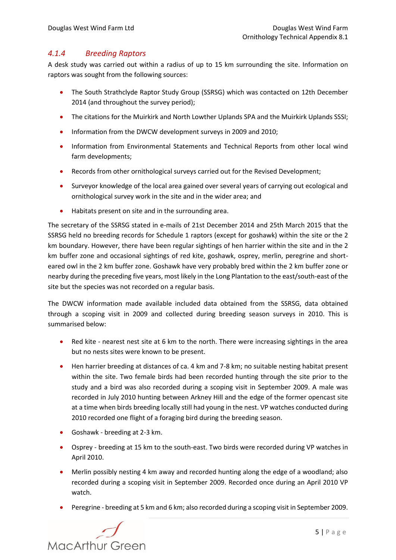### <span id="page-7-0"></span>*4.1.4 Breeding Raptors*

A desk study was carried out within a radius of up to 15 km surrounding the site. Information on raptors was sought from the following sources:

- The South Strathclyde Raptor Study Group (SSRSG) which was contacted on 12th December 2014 (and throughout the survey period);
- The citations for the Muirkirk and North Lowther Uplands SPA and the Muirkirk Uplands SSSI;
- Information from the DWCW development surveys in 2009 and 2010;
- Information from Environmental Statements and Technical Reports from other local wind farm developments;
- Records from other ornithological surveys carried out for the Revised Development;
- Surveyor knowledge of the local area gained over several years of carrying out ecological and ornithological survey work in the site and in the wider area; and
- Habitats present on site and in the surrounding area.

The secretary of the SSRSG stated in e-mails of 21st December 2014 and 25th March 2015 that the SSRSG held no breeding records for Schedule 1 raptors (except for goshawk) within the site or the 2 km boundary. However, there have been regular sightings of hen harrier within the site and in the 2 km buffer zone and occasional sightings of red kite, goshawk, osprey, merlin, peregrine and shorteared owl in the 2 km buffer zone. Goshawk have very probably bred within the 2 km buffer zone or nearby during the preceding five years, most likely in the Long Plantation to the east/south-east of the site but the species was not recorded on a regular basis.

The DWCW information made available included data obtained from the SSRSG, data obtained through a scoping visit in 2009 and collected during breeding season surveys in 2010. This is summarised below:

- Red kite nearest nest site at 6 km to the north. There were increasing sightings in the area but no nests sites were known to be present.
- Hen harrier breeding at distances of ca. 4 km and 7-8 km; no suitable nesting habitat present within the site. Two female birds had been recorded hunting through the site prior to the study and a bird was also recorded during a scoping visit in September 2009. A male was recorded in July 2010 hunting between Arkney Hill and the edge of the former opencast site at a time when birds breeding locally still had young in the nest. VP watches conducted during 2010 recorded one flight of a foraging bird during the breeding season.
- Goshawk breeding at 2-3 km.
- Osprey breeding at 15 km to the south-east. Two birds were recorded during VP watches in April 2010.
- Merlin possibly nesting 4 km away and recorded hunting along the edge of a woodland; also recorded during a scoping visit in September 2009. Recorded once during an April 2010 VP watch.
- Peregrine breeding at 5 km and 6 km; also recorded during a scoping visit in September 2009.

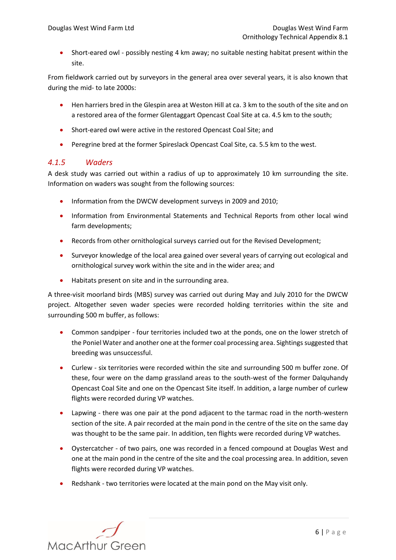Short-eared owl - possibly nesting 4 km away; no suitable nesting habitat present within the site.

From fieldwork carried out by surveyors in the general area over several years, it is also known that during the mid- to late 2000s:

- Hen harriers bred in the Glespin area at Weston Hill at ca. 3 km to the south of the site and on a restored area of the former Glentaggart Opencast Coal Site at ca. 4.5 km to the south;
- Short-eared owl were active in the restored Opencast Coal Site; and
- Peregrine bred at the former Spireslack Opencast Coal Site, ca. 5.5 km to the west.

### <span id="page-8-0"></span>*4.1.5 Waders*

A desk study was carried out within a radius of up to approximately 10 km surrounding the site. Information on waders was sought from the following sources:

- Information from the DWCW development surveys in 2009 and 2010;
- Information from Environmental Statements and Technical Reports from other local wind farm developments;
- Records from other ornithological surveys carried out for the Revised Development;
- Surveyor knowledge of the local area gained over several years of carrying out ecological and ornithological survey work within the site and in the wider area; and
- Habitats present on site and in the surrounding area.

A three-visit moorland birds (MBS) survey was carried out during May and July 2010 for the DWCW project. Altogether seven wader species were recorded holding territories within the site and surrounding 500 m buffer, as follows:

- Common sandpiper four territories included two at the ponds, one on the lower stretch of the Poniel Water and another one at the former coal processing area. Sightings suggested that breeding was unsuccessful.
- Curlew six territories were recorded within the site and surrounding 500 m buffer zone. Of these, four were on the damp grassland areas to the south-west of the former Dalquhandy Opencast Coal Site and one on the Opencast Site itself. In addition, a large number of curlew flights were recorded during VP watches.
- Lapwing there was one pair at the pond adjacent to the tarmac road in the north-western section of the site. A pair recorded at the main pond in the centre of the site on the same day was thought to be the same pair. In addition, ten flights were recorded during VP watches.
- Oystercatcher of two pairs, one was recorded in a fenced compound at Douglas West and one at the main pond in the centre of the site and the coal processing area. In addition, seven flights were recorded during VP watches.
- Redshank two territories were located at the main pond on the May visit only.

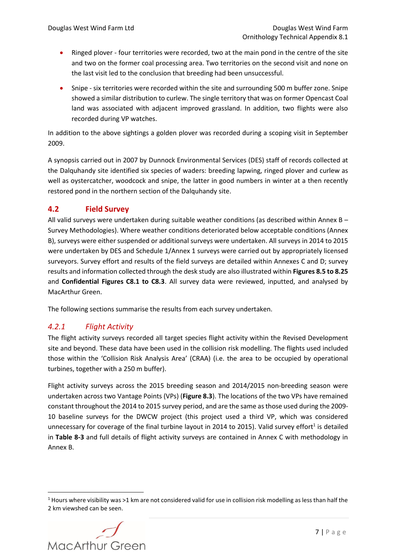- Ringed plover four territories were recorded, two at the main pond in the centre of the site and two on the former coal processing area. Two territories on the second visit and none on the last visit led to the conclusion that breeding had been unsuccessful.
- Snipe six territories were recorded within the site and surrounding 500 m buffer zone. Snipe showed a similar distribution to curlew. The single territory that was on former Opencast Coal land was associated with adjacent improved grassland. In addition, two flights were also recorded during VP watches.

In addition to the above sightings a golden plover was recorded during a scoping visit in September 2009.

A synopsis carried out in 2007 by Dunnock Environmental Services (DES) staff of records collected at the Dalquhandy site identified six species of waders: breeding lapwing, ringed plover and curlew as well as oystercatcher, woodcock and snipe, the latter in good numbers in winter at a then recently restored pond in the northern section of the Dalquhandy site.

### <span id="page-9-0"></span>**4.2 Field Survey**

All valid surveys were undertaken during suitable weather conditions (as described within Annex B – Survey Methodologies). Where weather conditions deteriorated below acceptable conditions (Annex B), surveys were either suspended or additional surveys were undertaken. All surveys in 2014 to 2015 were undertaken by DES and Schedule 1/Annex 1 surveys were carried out by appropriately licensed surveyors. Survey effort and results of the field surveys are detailed within Annexes C and D; survey results and information collected through the desk study are also illustrated within **Figures 8.5 to 8.25**  and **Confidential Figures C8.1 to C8.3**. All survey data were reviewed, inputted, and analysed by MacArthur Green.

The following sections summarise the results from each survey undertaken.

### <span id="page-9-1"></span>*4.2.1 Flight Activity*

The flight activity surveys recorded all target species flight activity within the Revised Development site and beyond. These data have been used in the collision risk modelling. The flights used included those within the 'Collision Risk Analysis Area' (CRAA) (i.e. the area to be occupied by operational turbines, together with a 250 m buffer).

Flight activity surveys across the 2015 breeding season and 2014/2015 non-breeding season were undertaken across two Vantage Points (VPs) (**Figure 8.3**). The locations of the two VPs have remained constant throughout the 2014 to 2015 survey period, and are the same as those used during the 2009- 10 baseline surveys for the DWCW project (this project used a third VP, which was considered unnecessary for coverage of the final turbine layout in 2014 to 2015). Valid survey effort<sup>1</sup> is detailed in **[Table 8-3](#page-10-0)** and full details of flight activity surveys are contained in Annex C with methodology in Annex B.

<sup>&</sup>lt;sup>1</sup> Hours where visibility was >1 km are not considered valid for use in collision risk modelling as less than half the 2 km viewshed can be seen.



1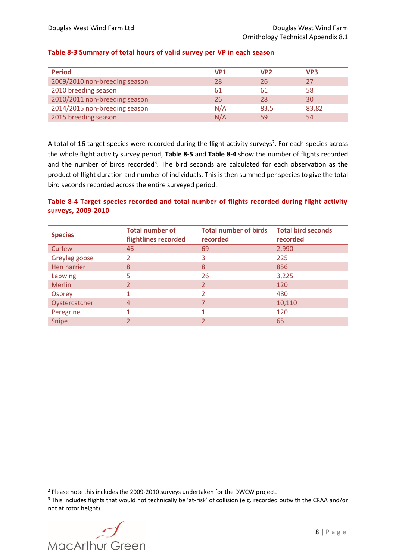<span id="page-10-0"></span>

| <b>Period</b>                 | <b>VP1</b> | VP <sub>2</sub> | VP3   |
|-------------------------------|------------|-----------------|-------|
| 2009/2010 non-breeding season | 28         | 26              | 27    |
| 2010 breeding season          | 61         | 61              | 58    |
| 2010/2011 non-breeding season | 26         | 28              | 30    |
| 2014/2015 non-breeding season | N/A        | 83.5            | 83.82 |
| 2015 breeding season          | N/A        | 59              | 54    |

A total of 16 target species were recorded during the flight activity surveys<sup>2</sup>. For each species across the whole flight activity survey period, **[Table 8-5](#page-11-0)** and **[Table 8-4](#page-10-1)** show the number of flights recorded and the number of birds recorded<sup>3</sup>. The bird seconds are calculated for each observation as the product of flight duration and number of individuals. This is then summed per species to give the total bird seconds recorded across the entire surveyed period.

#### <span id="page-10-1"></span>**Table 8-4 Target species recorded and total number of flights recorded during flight activity surveys, 2009-2010**

| <b>Species</b> | <b>Total number of</b><br>flightlines recorded | <b>Total number of birds</b><br>recorded | <b>Total bird seconds</b><br>recorded |
|----------------|------------------------------------------------|------------------------------------------|---------------------------------------|
| Curlew         | 46                                             | 69                                       | 2,990                                 |
| Greylag goose  | 2                                              | 3                                        | 225                                   |
| Hen harrier    | 8                                              | 8                                        | 856                                   |
| Lapwing        | 5                                              | 26                                       | 3,225                                 |
| <b>Merlin</b>  | 2                                              | 2                                        | 120                                   |
| Osprey         |                                                | C                                        | 480                                   |
| Oystercatcher  | $\overline{4}$                                 |                                          | 10,110                                |
| Peregrine      |                                                |                                          | 120                                   |
| Snipe          |                                                |                                          | 65                                    |

<sup>&</sup>lt;sup>3</sup> This includes flights that would not technically be 'at-risk' of collision (e.g. recorded outwith the CRAA and/or not at rotor height).



<sup>&</sup>lt;sup>2</sup> Please note this includes the 2009-2010 surveys undertaken for the DWCW project.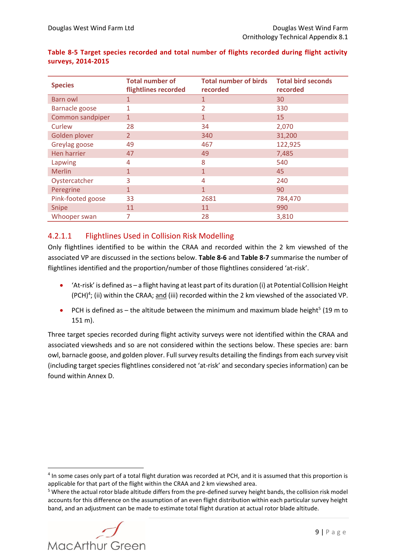| <b>Species</b>        | <b>Total number of</b><br>flightlines recorded | <b>Total number of birds</b><br>recorded | <b>Total bird seconds</b><br>recorded |
|-----------------------|------------------------------------------------|------------------------------------------|---------------------------------------|
| <b>Barn owl</b>       | 1                                              | 1                                        | 30                                    |
| <b>Barnacle goose</b> | 1                                              | $\overline{2}$                           | 330                                   |
| Common sandpiper      | $\mathbf{1}$                                   | $\mathbf{1}$                             | 15                                    |
| Curlew                | 28                                             | 34                                       | 2,070                                 |
| Golden plover         | $\overline{2}$                                 | 340                                      | 31,200                                |
| Greylag goose         | 49                                             | 467                                      | 122,925                               |
| Hen harrier           | 47                                             | 49                                       | 7,485                                 |
| Lapwing               | 4                                              | 8                                        | 540                                   |
| <b>Merlin</b>         | $\mathbf{1}$                                   | $\mathbf{1}$                             | 45                                    |
| Oystercatcher         | 3                                              | $\overline{4}$                           | 240                                   |
| Peregrine             | $\mathbf{1}$                                   | $\mathbf{1}$                             | 90                                    |
| Pink-footed goose     | 33                                             | 2681                                     | 784,470                               |
| Snipe                 | 11                                             | 11                                       | 990                                   |
| Whooper swan          | 7                                              | 28                                       | 3,810                                 |

#### <span id="page-11-0"></span>**Table 8-5 Target species recorded and total number of flights recorded during flight activity surveys, 2014-2015**

## 4.2.1.1 Flightlines Used in Collision Risk Modelling

Only flightlines identified to be within the CRAA and recorded within the 2 km viewshed of the associated VP are discussed in the sections below. **[Table 8-6](#page-12-0)** and **[Table 8-7](#page-12-1)** summarise the number of flightlines identified and the proportion/number of those flightlines considered 'at-risk'.

- 'At-risk' is defined as a flight having at least part of its duration (i) at Potential Collision Height (PCH)<sup>4</sup>; (ii) within the CRAA; and (iii) recorded within the 2 km viewshed of the associated VP.
- PCH is defined as  $-$  the altitude between the minimum and maximum blade height<sup>5</sup> (19 m to 151 m).

Three target species recorded during flight activity surveys were not identified within the CRAA and associated viewsheds and so are not considered within the sections below. These species are: barn owl, barnacle goose, and golden plover. Full survey results detailing the findings from each survey visit (including target species flightlines considered not 'at-risk' and secondary species information) can be found within Annex D.

<sup>&</sup>lt;sup>5</sup> Where the actual rotor blade altitude differs from the pre-defined survey height bands, the collision risk model accounts for this difference on the assumption of an even flight distribution within each particular survey height band, and an adjustment can be made to estimate total flight duration at actual rotor blade altitude.



<sup>&</sup>lt;sup>4</sup> In some cases only part of a total flight duration was recorded at PCH, and it is assumed that this proportion is applicable for that part of the flight within the CRAA and 2 km viewshed area.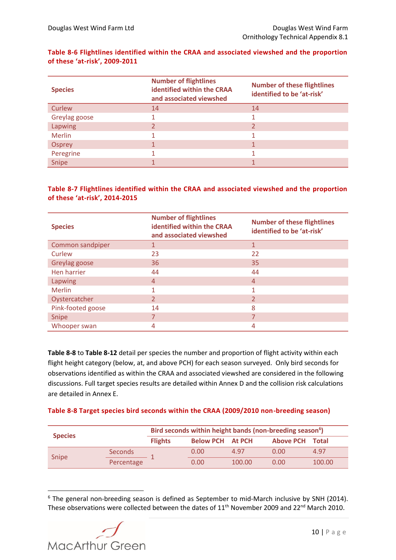#### <span id="page-12-0"></span>**Table 8-6 Flightlines identified within the CRAA and associated viewshed and the proportion of these 'at-risk', 2009-2011**

| <b>Species</b> | <b>Number of flightlines</b><br>identified within the CRAA<br>and associated viewshed | <b>Number of these flightlines</b><br>identified to be 'at-risk' |
|----------------|---------------------------------------------------------------------------------------|------------------------------------------------------------------|
| Curlew         | 14                                                                                    | 14                                                               |
| Greylag goose  |                                                                                       |                                                                  |
| <b>Lapwing</b> |                                                                                       |                                                                  |
| <b>Merlin</b>  |                                                                                       |                                                                  |
| <b>Osprey</b>  |                                                                                       |                                                                  |
| Peregrine      |                                                                                       |                                                                  |
| Snipe          |                                                                                       |                                                                  |

#### <span id="page-12-1"></span>**Table 8-7 Flightlines identified within the CRAA and associated viewshed and the proportion of these 'at-risk', 2014-2015**

| <b>Species</b>    | <b>Number of flightlines</b><br>identified within the CRAA<br>and associated viewshed | <b>Number of these flightlines</b><br>identified to be 'at-risk' |
|-------------------|---------------------------------------------------------------------------------------|------------------------------------------------------------------|
| Common sandpiper  |                                                                                       |                                                                  |
| Curlew            | 23                                                                                    | 22                                                               |
| Greylag goose     | 36                                                                                    | 35                                                               |
| Hen harrier       | 44                                                                                    | 44                                                               |
| <b>Lapwing</b>    | $\overline{4}$                                                                        | $\overline{4}$                                                   |
| <b>Merlin</b>     |                                                                                       |                                                                  |
| Oystercatcher     | $\overline{2}$                                                                        |                                                                  |
| Pink-footed goose | 14                                                                                    | 8                                                                |
| Snipe             | 7                                                                                     |                                                                  |
| Whooper swan      | 4                                                                                     | 4                                                                |

**[Table 8-8](#page-12-2)** to **[Table 8-12](#page-14-0)** detail per species the number and proportion of flight activity within each flight height category (below, at, and above PCH) for each season surveyed. Only bird seconds for observations identified as within the CRAA and associated viewshed are considered in the following discussions. Full target species results are detailed within Annex D and the collision risk calculations are detailed in Annex E.

#### <span id="page-12-2"></span>**Table 8-8 Target species bird seconds within the CRAA (2009/2010 non-breeding season)**

| <b>Species</b> |                | Bird seconds within height bands (non-breeding season <sup>6</sup> ) |                         |        |                        |        |  |
|----------------|----------------|----------------------------------------------------------------------|-------------------------|--------|------------------------|--------|--|
|                |                | <b>Flights</b>                                                       | <b>Below PCH At PCH</b> |        | <b>Above PCH Total</b> |        |  |
| <b>Snipe</b>   | <b>Seconds</b> |                                                                      | 0.00                    | 4.97   | 0.00                   | 4.97   |  |
|                | Percentage     |                                                                      | 0.00                    | 100.00 | 0.00                   | 100.00 |  |

<sup>&</sup>lt;sup>6</sup> The general non-breeding season is defined as September to mid-March inclusive by SNH (2014). These observations were collected between the dates of  $11<sup>th</sup>$  November 2009 and 22<sup>nd</sup> March 2010.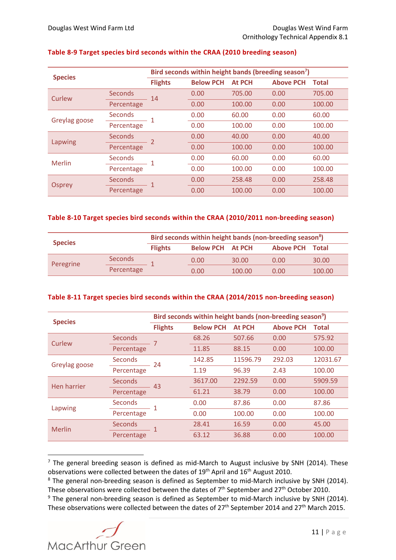| <b>Species</b> |                | Bird seconds within height bands (breeding season <sup>7</sup> ) |                  |               |                  |              |
|----------------|----------------|------------------------------------------------------------------|------------------|---------------|------------------|--------------|
|                |                | <b>Flights</b>                                                   | <b>Below PCH</b> | <b>At PCH</b> | <b>Above PCH</b> | <b>Total</b> |
| Curlew         | <b>Seconds</b> | 14                                                               | 0.00             | 705.00        | 0.00             | 705.00       |
|                | Percentage     |                                                                  | 0.00             | 100.00        | 0.00             | 100.00       |
| Greylag goose  | <b>Seconds</b> |                                                                  | 0.00             | 60.00         | 0.00             | 60.00        |
|                | Percentage     |                                                                  | 0.00             | 100.00        | 0.00             | 100.00       |
| Lapwing        | <b>Seconds</b> |                                                                  | 0.00             | 40.00         | 0.00             | 40.00        |
|                | Percentage     |                                                                  | 0.00             | 100.00        | 0.00             | 100.00       |
| Merlin         | <b>Seconds</b> |                                                                  | 0.00             | 60.00         | 0.00             | 60.00        |
|                | Percentage     |                                                                  | 0.00             | 100.00        | 0.00             | 100.00       |
|                | <b>Seconds</b> |                                                                  | 0.00             | 258.48        | 0.00             | 258.48       |
| <b>Osprey</b>  | Percentage     |                                                                  | 0.00             | 100.00        | 0.00             | 100.00       |

#### **Table 8-9 Target species bird seconds within the CRAA (2010 breeding season)**

#### **Table 8-10 Target species bird seconds within the CRAA (2010/2011 non-breeding season)**

| <b>Species</b> |                | Bird seconds within height bands (non-breeding season <sup>8</sup> ) |                         |        |                        |        |
|----------------|----------------|----------------------------------------------------------------------|-------------------------|--------|------------------------|--------|
|                |                | <b>Flights</b>                                                       | <b>Below PCH At PCH</b> |        | <b>Above PCH Total</b> |        |
| Peregrine      | <b>Seconds</b> |                                                                      | 0.00                    | 30.00  | 0.00                   | 30.00  |
|                | Percentage     |                                                                      | 0.00                    | 100.00 | 0.00                   | 100.00 |

#### **Table 8-11 Target species bird seconds within the CRAA (2014/2015 non-breeding season)**

| <b>Species</b> |                | Bird seconds within height bands (non-breeding season <sup>9</sup> ) |                  |               |                  |              |  |
|----------------|----------------|----------------------------------------------------------------------|------------------|---------------|------------------|--------------|--|
|                |                | <b>Flights</b>                                                       | <b>Below PCH</b> | <b>At PCH</b> | <b>Above PCH</b> | <b>Total</b> |  |
| Curlew         | <b>Seconds</b> |                                                                      | 68.26            | 507.66        | 0.00             | 575.92       |  |
|                | Percentage     |                                                                      | 11.85            | 88.15         | 0.00             | 100.00       |  |
| Greylag goose  | <b>Seconds</b> | 24                                                                   | 142.85           | 11596.79      | 292.03           | 12031.67     |  |
|                | Percentage     |                                                                      | 1.19             | 96.39         | 2.43             | 100.00       |  |
| Hen harrier    | <b>Seconds</b> | 43                                                                   | 3617.00          | 2292.59       | 0.00             | 5909.59      |  |
|                | Percentage     |                                                                      | 61.21            | 38.79         | 0.00             | 100.00       |  |
| Lapwing        | <b>Seconds</b> |                                                                      | 0.00             | 87.86         | 0.00             | 87.86        |  |
|                | Percentage     |                                                                      | 0.00             | 100.00        | 0.00             | 100.00       |  |
| Merlin         | <b>Seconds</b> |                                                                      | 28.41            | 16.59         | 0.00             | 45.00        |  |
|                | Percentage     |                                                                      | 63.12            | 36.88         | 0.00             | 100.00       |  |

 $<sup>7</sup>$  The general breeding season is defined as mid-March to August inclusive by SNH (2014). These</sup> observations were collected between the dates of 19<sup>th</sup> April and 16<sup>th</sup> August 2010.

<sup>&</sup>lt;sup>8</sup> The general non-breeding season is defined as September to mid-March inclusive by SNH (2014). These observations were collected between the dates of  $7<sup>th</sup>$  September and 27<sup>th</sup> October 2010.

 $9$  The general non-breeding season is defined as September to mid-March inclusive by SNH (2014). These observations were collected between the dates of 27<sup>th</sup> September 2014 and 27<sup>th</sup> March 2015.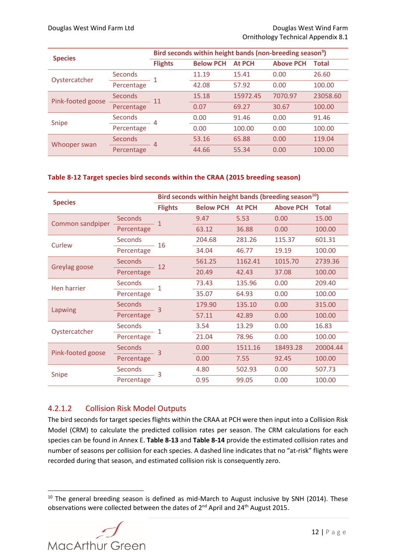| <b>Species</b>    |                | Bird seconds within height bands (non-breeding season <sup>9</sup> ) |                  |               |                  |              |  |
|-------------------|----------------|----------------------------------------------------------------------|------------------|---------------|------------------|--------------|--|
|                   |                | <b>Flights</b>                                                       | <b>Below PCH</b> | <b>At PCH</b> | <b>Above PCH</b> | <b>Total</b> |  |
| Oystercatcher     | <b>Seconds</b> |                                                                      | 11.19            | 15.41         | 0.00             | 26.60        |  |
|                   | Percentage     |                                                                      | 42.08            | 57.92         | 0.00             | 100.00       |  |
| Pink-footed goose | Seconds        | 11                                                                   | 15.18            | 15972.45      | 7070.97          | 23058.60     |  |
|                   | Percentage     |                                                                      | 0.07             | 69.27         | 30.67            | 100.00       |  |
| Snipe             | <b>Seconds</b> | 4                                                                    | 0.00             | 91.46         | 0.00             | 91.46        |  |
|                   | Percentage     |                                                                      | 0.00             | 100.00        | 0.00             | 100.00       |  |
| Whooper swan      | Seconds        | 4                                                                    | 53.16            | 65.88         | 0.00             | 119.04       |  |
|                   | Percentage     |                                                                      | 44.66            | 55.34         | 0.00             | 100.00       |  |

#### <span id="page-14-0"></span>**Table 8-12 Target species bird seconds within the CRAA (2015 breeding season)**

| <b>Species</b>    |                | Bird seconds within height bands (breeding season <sup>10</sup> ) |                  |               |                  |              |
|-------------------|----------------|-------------------------------------------------------------------|------------------|---------------|------------------|--------------|
|                   |                | <b>Flights</b>                                                    | <b>Below PCH</b> | <b>At PCH</b> | <b>Above PCH</b> | <b>Total</b> |
| Common sandpiper  | <b>Seconds</b> | 1                                                                 | 9.47             | 5.53          | 0.00             | 15.00        |
|                   | Percentage     |                                                                   | 63.12            | 36.88         | 0.00             | 100.00       |
| Curlew            | <b>Seconds</b> | 16                                                                | 204.68           | 281.26        | 115.37           | 601.31       |
|                   | Percentage     |                                                                   | 34.04            | 46.77         | 19.19            | 100.00       |
| Greylag goose     | <b>Seconds</b> | 12                                                                | 561.25           | 1162.41       | 1015.70          | 2739.36      |
|                   | Percentage     |                                                                   | 20.49            | 42.43         | 37.08            | 100.00       |
| Hen harrier       | <b>Seconds</b> | 1                                                                 | 73.43            | 135.96        | 0.00             | 209.40       |
|                   | Percentage     |                                                                   | 35.07            | 64.93         | 0.00             | 100.00       |
| Lapwing           | <b>Seconds</b> | 3                                                                 | 179.90           | 135.10        | 0.00             | 315.00       |
|                   | Percentage     |                                                                   | 57.11            | 42.89         | 0.00             | 100.00       |
| Oystercatcher     | <b>Seconds</b> | $\overline{1}$                                                    | 3.54             | 13.29         | 0.00             | 16.83        |
|                   | Percentage     |                                                                   | 21.04            | 78.96         | 0.00             | 100.00       |
| Pink-footed goose | <b>Seconds</b> | $\overline{3}$                                                    | 0.00             | 1511.16       | 18493.28         | 20004.44     |
|                   | Percentage     |                                                                   | 0.00             | 7.55          | 92.45            | 100.00       |
|                   | <b>Seconds</b> | 3                                                                 | 4.80             | 502.93        | 0.00             | 507.73       |
| <b>Snipe</b>      | Percentage     |                                                                   | 0.95             | 99.05         | 0.00             | 100.00       |

### 4.2.1.2 Collision Risk Model Outputs

The bird seconds for target species flights within the CRAA at PCH were then input into a Collision Risk Model (CRM) to calculate the predicted collision rates per season. The CRM calculations for each species can be found in Annex E. **[Table 8-13](#page-15-1)** and **[Table 8-14](#page-15-2)** provide the estimated collision rates and number of seasons per collision for each species. A dashed line indicates that no "at-risk" flights were recorded during that season, and estimated collision risk is consequently zero.

 $10$  The general breeding season is defined as mid-March to August inclusive by SNH (2014). These observations were collected between the dates of 2<sup>nd</sup> April and 24<sup>th</sup> August 2015.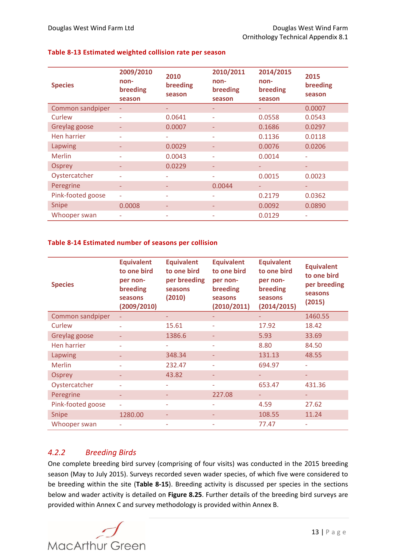| <b>Species</b>    | 2009/2010<br>non-<br>breeding<br>season | 2010<br>breeding<br>season | 2010/2011<br>non-<br>breeding<br>season | 2014/2015<br>non-<br>breeding<br>season | 2015<br>breeding<br>season |
|-------------------|-----------------------------------------|----------------------------|-----------------------------------------|-----------------------------------------|----------------------------|
| Common sandpiper  | ٠                                       |                            | -                                       | -                                       | 0.0007                     |
| Curlew            | ٠                                       | 0.0641                     | $\equiv$                                | 0.0558                                  | 0.0543                     |
| Greylag goose     |                                         | 0.0007                     |                                         | 0.1686                                  | 0.0297                     |
| Hen harrier       | ٠                                       | ٠                          | ÷                                       | 0.1136                                  | 0.0118                     |
| Lapwing           |                                         | 0.0029                     |                                         | 0.0076                                  | 0.0206                     |
| <b>Merlin</b>     | ۰                                       | 0.0043                     | ÷                                       | 0.0014                                  | $\overline{\phantom{a}}$   |
| <b>Osprey</b>     | ۰                                       | 0.0229                     | ٠                                       |                                         | ٠                          |
| Oystercatcher     | ۰                                       |                            | ٠                                       | 0.0015                                  | 0.0023                     |
| Peregrine         | ٠                                       |                            | 0.0044                                  | -                                       | $\overline{\phantom{a}}$   |
| Pink-footed goose | ÷,                                      |                            |                                         | 0.2179                                  | 0.0362                     |
| Snipe             | 0.0008                                  |                            |                                         | 0.0092                                  | 0.0890                     |
| Whooper swan      |                                         |                            |                                         | 0.0129                                  | ۰                          |

#### <span id="page-15-1"></span>**Table 8-13 Estimated weighted collision rate per season**

#### <span id="page-15-2"></span>**Table 8-14 Estimated number of seasons per collision**

| <b>Species</b>    | <b>Equivalent</b><br>to one bird<br>per non-<br>breeding<br>seasons<br>(2009/2010) | <b>Equivalent</b><br>to one bird<br>per breeding<br>seasons<br>(2010) | <b>Equivalent</b><br>to one bird<br>per non-<br>breeding<br>seasons<br>(2010/2011) | <b>Equivalent</b><br>to one bird<br>per non-<br>breeding<br>seasons<br>(2014/2015) | <b>Equivalent</b><br>to one bird<br>per breeding<br>seasons<br>(2015) |
|-------------------|------------------------------------------------------------------------------------|-----------------------------------------------------------------------|------------------------------------------------------------------------------------|------------------------------------------------------------------------------------|-----------------------------------------------------------------------|
| Common sandpiper  | ÷                                                                                  |                                                                       |                                                                                    |                                                                                    | 1460.55                                                               |
| Curlew            |                                                                                    | 15.61                                                                 |                                                                                    | 17.92                                                                              | 18.42                                                                 |
| Greylag goose     |                                                                                    | 1386.6                                                                |                                                                                    | 5.93                                                                               | 33.69                                                                 |
| Hen harrier       |                                                                                    |                                                                       |                                                                                    | 8.80                                                                               | 84.50                                                                 |
| Lapwing           |                                                                                    | 348.34                                                                |                                                                                    | 131.13                                                                             | 48.55                                                                 |
| Merlin            |                                                                                    | 232.47                                                                |                                                                                    | 694.97                                                                             |                                                                       |
| <b>Osprey</b>     |                                                                                    | 43.82                                                                 |                                                                                    |                                                                                    |                                                                       |
| Oystercatcher     |                                                                                    |                                                                       |                                                                                    | 653.47                                                                             | 431.36                                                                |
| Peregrine         |                                                                                    |                                                                       | 227.08                                                                             | ٠                                                                                  | ٠                                                                     |
| Pink-footed goose |                                                                                    |                                                                       |                                                                                    | 4.59                                                                               | 27.62                                                                 |
| Snipe             | 1280.00                                                                            |                                                                       |                                                                                    | 108.55                                                                             | 11.24                                                                 |
| Whooper swan      |                                                                                    |                                                                       |                                                                                    | 77.47                                                                              |                                                                       |

### <span id="page-15-0"></span>*4.2.2 Breeding Birds*

One complete breeding bird survey (comprising of four visits) was conducted in the 2015 breeding season (May to July 2015). Surveys recorded seven wader species, of which five were considered to be breeding within the site (**[Table 8-15](#page-16-0)**). Breeding activity is discussed per species in the sections below and wader activity is detailed on **Figure 8.25**. Further details of the breeding bird surveys are provided within Annex C and survey methodology is provided within Annex B.

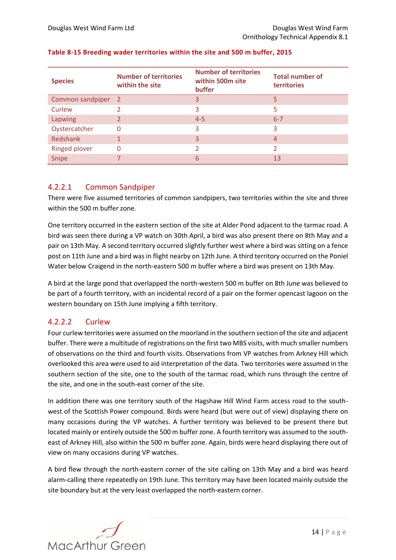| <b>Species</b>       | <b>Number of territories</b><br>within the site | <b>Number of territories</b><br>within 500m site<br>buffer | <b>Total number of</b><br>territories |
|----------------------|-------------------------------------------------|------------------------------------------------------------|---------------------------------------|
| Common sandpiper     | $\overline{2}$                                  | 3                                                          | 5                                     |
| Curlew               |                                                 | 3                                                          | 5                                     |
| Lapwing              |                                                 | $4 - 5$                                                    | $6 - 7$                               |
| Oystercatcher        | 0                                               | 3                                                          | 3                                     |
| Redshank             |                                                 | 3                                                          | 4                                     |
| <b>Ringed plover</b> | $\Omega$                                        |                                                            | っ                                     |
| Snipe                |                                                 | 6                                                          | 13                                    |

#### <span id="page-16-0"></span>**Table 8-15 Breeding wader territories within the site and 500 m buffer, 2015**

### 4.2.2.1 Common Sandpiper

There were five assumed territories of common sandpipers, two territories within the site and three within the 500 m buffer zone.

One territory occurred in the eastern section of the site at Alder Pond adjacent to the tarmac road. A bird was seen there during a VP watch on 30th April, a bird was also present there on 8th May and a pair on 13th May. A second territory occurred slightly further west where a bird was sitting on a fence post on 11th June and a bird was in flight nearby on 12th June. A third territory occurred on the Poniel Water below Craigend in the north-eastern 500 m buffer where a bird was present on 13th May.

A bird at the large pond that overlapped the north-western 500 m buffer on 8th June was believed to be part of a fourth territory, with an incidental record of a pair on the former opencast lagoon on the western boundary on 15th June implying a fifth territory.

### 4.2.2.2 Curlew

Four curlew territories were assumed on the moorland in the southern section of the site and adjacent buffer. There were a multitude of registrations on the first two MBS visits, with much smaller numbers of observations on the third and fourth visits. Observations from VP watches from Arkney Hill which overlooked this area were used to aid interpretation of the data. Two territories were assumed in the southern section of the site, one to the south of the tarmac road, which runs through the centre of the site, and one in the south-east corner of the site.

In addition there was one territory south of the Hagshaw Hill Wind Farm access road to the southwest of the Scottish Power compound. Birds were heard (but were out of view) displaying there on many occasions during the VP watches. A further territory was believed to be present there but located mainly or entirely outside the 500 m buffer zone. A fourth territory was assumed to the southeast of Arkney Hill, also within the 500 m buffer zone. Again, birds were heard displaying there out of view on many occasions during VP watches.

A bird flew through the north-eastern corner of the site calling on 13th May and a bird was heard alarm-calling there repeatedly on 19th June. This territory may have been located mainly outside the site boundary but at the very least overlapped the north-eastern corner.

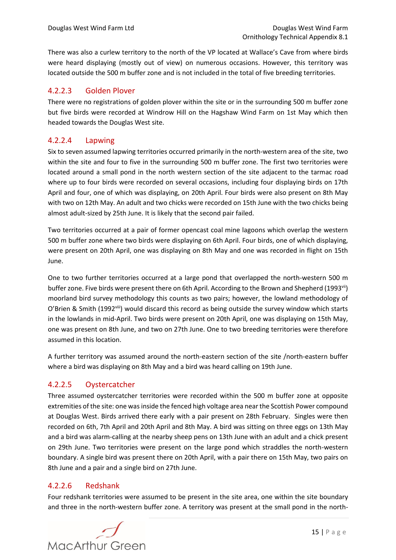There was also a curlew territory to the north of the VP located at Wallace's Cave from where birds were heard displaying (mostly out of view) on numerous occasions. However, this territory was located outside the 500 m buffer zone and is not included in the total of five breeding territories.

### 4.2.2.3 Golden Plover

There were no registrations of golden plover within the site or in the surrounding 500 m buffer zone but five birds were recorded at Windrow Hill on the Hagshaw Wind Farm on 1st May which then headed towards the Douglas West site.

### 4.2.2.4 Lapwing

Six to seven assumed lapwing territories occurred primarily in the north-western area of the site, two within the site and four to five in the surrounding 500 m buffer zone. The first two territories were located around a small pond in the north western section of the site adjacent to the tarmac road where up to four birds were recorded on several occasions, including four displaying birds on 17th April and four, one of which was displaying, on 20th April. Four birds were also present on 8th May with two on 12th May. An adult and two chicks were recorded on 15th June with the two chicks being almost adult-sized by 25th June. It is likely that the second pair failed.

Two territories occurred at a pair of former opencast coal mine lagoons which overlap the western 500 m buffer zone where two birds were displaying on 6th April. Four birds, one of which displaying, were present on 20th April, one was displaying on 8th May and one was recorded in flight on 15th June.

One to two further territories occurred at a large pond that overlapped the north-western 500 m buffer zone. Five birds were present there on 6th April. According to the Brown and Shepherd (1993<sup>vii</sup>) moorland bird survey methodology this counts as two pairs; however, the lowland methodology of O'Brien & Smith (1992<sup>viii</sup>) would discard this record as being outside the survey window which starts in the lowlands in mid-April. Two birds were present on 20th April, one was displaying on 15th May, one was present on 8th June, and two on 27th June. One to two breeding territories were therefore assumed in this location.

A further territory was assumed around the north-eastern section of the site /north-eastern buffer where a bird was displaying on 8th May and a bird was heard calling on 19th June.

### 4.2.2.5 Oystercatcher

Three assumed oystercatcher territories were recorded within the 500 m buffer zone at opposite extremities of the site: one was inside the fenced high voltage area near the Scottish Power compound at Douglas West. Birds arrived there early with a pair present on 28th February. Singles were then recorded on 6th, 7th April and 20th April and 8th May. A bird was sitting on three eggs on 13th May and a bird was alarm-calling at the nearby sheep pens on 13th June with an adult and a chick present on 29th June. Two territories were present on the large pond which straddles the north-western boundary. A single bird was present there on 20th April, with a pair there on 15th May, two pairs on 8th June and a pair and a single bird on 27th June.

### 4.2.2.6 Redshank

Four redshank territories were assumed to be present in the site area, one within the site boundary and three in the north-western buffer zone. A territory was present at the small pond in the north-

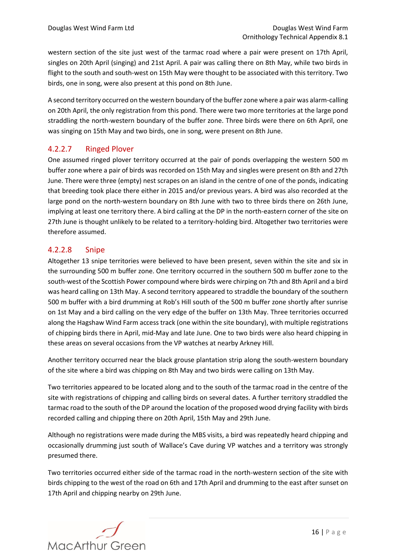western section of the site just west of the tarmac road where a pair were present on 17th April, singles on 20th April (singing) and 21st April. A pair was calling there on 8th May, while two birds in flight to the south and south-west on 15th May were thought to be associated with this territory. Two birds, one in song, were also present at this pond on 8th June.

A second territory occurred on the western boundary of the buffer zone where a pair was alarm-calling on 20th April, the only registration from this pond. There were two more territories at the large pond straddling the north-western boundary of the buffer zone. Three birds were there on 6th April, one was singing on 15th May and two birds, one in song, were present on 8th June.

### 4.2.2.7 Ringed Plover

One assumed ringed plover territory occurred at the pair of ponds overlapping the western 500 m buffer zone where a pair of birds was recorded on 15th May and singles were present on 8th and 27th June. There were three (empty) nest scrapes on an island in the centre of one of the ponds, indicating that breeding took place there either in 2015 and/or previous years. A bird was also recorded at the large pond on the north-western boundary on 8th June with two to three birds there on 26th June, implying at least one territory there. A bird calling at the DP in the north-eastern corner of the site on 27th June is thought unlikely to be related to a territory-holding bird. Altogether two territories were therefore assumed.

### 4.2.2.8 Snipe

Altogether 13 snipe territories were believed to have been present, seven within the site and six in the surrounding 500 m buffer zone. One territory occurred in the southern 500 m buffer zone to the south-west of the Scottish Power compound where birds were chirping on 7th and 8th April and a bird was heard calling on 13th May. A second territory appeared to straddle the boundary of the southern 500 m buffer with a bird drumming at Rob's Hill south of the 500 m buffer zone shortly after sunrise on 1st May and a bird calling on the very edge of the buffer on 13th May. Three territories occurred along the Hagshaw Wind Farm access track (one within the site boundary), with multiple registrations of chipping birds there in April, mid-May and late June. One to two birds were also heard chipping in these areas on several occasions from the VP watches at nearby Arkney Hill.

Another territory occurred near the black grouse plantation strip along the south-western boundary of the site where a bird was chipping on 8th May and two birds were calling on 13th May.

Two territories appeared to be located along and to the south of the tarmac road in the centre of the site with registrations of chipping and calling birds on several dates. A further territory straddled the tarmac road to the south of the DP around the location of the proposed wood drying facility with birds recorded calling and chipping there on 20th April, 15th May and 29th June.

Although no registrations were made during the MBS visits, a bird was repeatedly heard chipping and occasionally drumming just south of Wallace's Cave during VP watches and a territory was strongly presumed there.

Two territories occurred either side of the tarmac road in the north-western section of the site with birds chipping to the west of the road on 6th and 17th April and drumming to the east after sunset on 17th April and chipping nearby on 29th June.